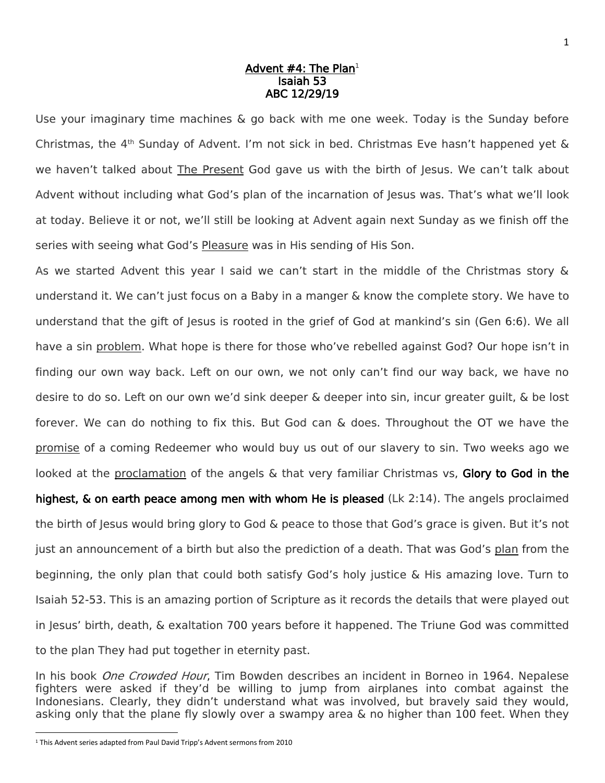## Advent #4: The Plan<del>1</del> Isaiah 53 ABC 12/29/19

Use your imaginary time machines & go back with me one week. Today is the Sunday before Christmas, the  $4<sup>th</sup>$  Sunday of Advent. I'm not sick in bed. Christmas Eve hasn't happened yet  $\&$ we haven't talked about The Present God gave us with the birth of Jesus. We can't talk about Advent without including what God's plan of the incarnation of Jesus was. That's what we'll look at today. Believe it or not, we'll still be looking at Advent again next Sunday as we finish off the series with seeing what God's Pleasure was in His sending of His Son.

As we started Advent this year I said we can't start in the middle of the Christmas story & understand it. We can't just focus on a Baby in a manger & know the complete story. We have to understand that the gift of Jesus is rooted in the grief of God at mankind's sin (Gen 6:6). We all have a sin problem. What hope is there for those who've rebelled against God? Our hope isn't in finding our own way back. Left on our own, we not only can't find our way back, we have no desire to do so. Left on our own we'd sink deeper & deeper into sin, incur greater guilt, & be lost forever. We can do nothing to fix this. But God can & does. Throughout the OT we have the promise of a coming Redeemer who would buy us out of our slavery to sin. Two weeks ago we looked at the proclamation of the angels & that very familiar Christmas vs, Glory to God in the highest,  $\&$  on earth peace among men with whom He is pleased (Lk 2:14). The angels proclaimed the birth of Jesus would bring glory to God & peace to those that God's grace is given. But it's not just an announcement of a birth but also the prediction of a death. That was God's plan from the

beginning, the only plan that could both satisfy God's holy justice & His amazing love. Turn to Isaiah 52-53. This is an amazing portion of Scripture as it records the details that were played out in Jesus' birth, death, & exaltation 700 years before it happened. The Triune God was committed to the plan They had put together in eternity past.

In his book *One Crowded Hour*. Tim Bowden describes an incident in Borneo in 1964. Nepalese fighters were asked if they'd be willing to jump from airplanes into combat against the Indonesians. Clearly, they didn't understand what was involved, but bravely said they would, asking only that the plane fly slowly over a swampy area & no higher than 100 feet. When they

 $\overline{\phantom{a}}$ 

<sup>1</sup> This Advent series adapted from Paul David Tripp's Advent sermons from 2010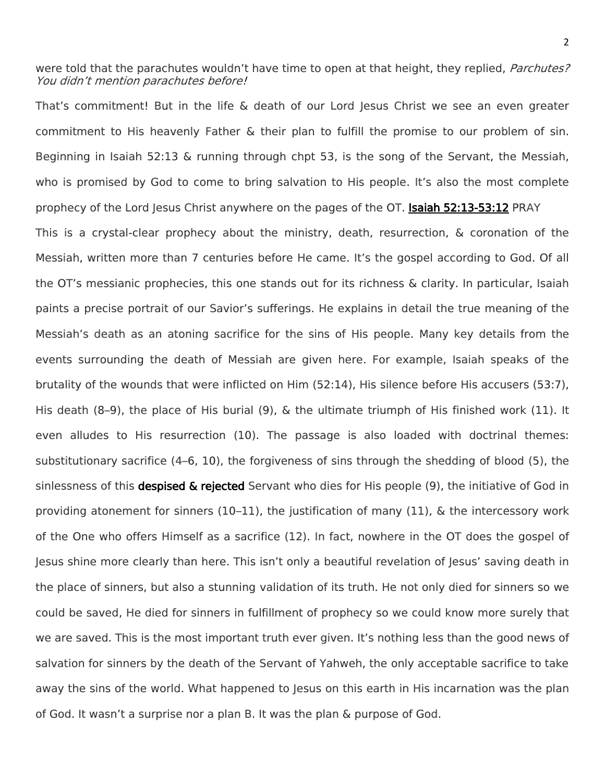were told that the parachutes wouldn't have time to open at that height, they replied, *Parchutes?* You didn't mention parachutes before!

That's commitment! But in the life & death of our Lord Jesus Christ we see an even greater commitment to His heavenly Father & their plan to fulfill the promise to our problem of sin. Beginning in Isaiah 52:13 & running through chpt 53, is the song of the Servant, the Messiah, who is promised by God to come to bring salvation to His people. It's also the most complete prophecy of the Lord Jesus Christ anywhere on the pages of the OT. Isaiah 52:13-53:12 PRAY This is a crystal-clear prophecy about the ministry, death, resurrection, & coronation of the Messiah, written more than 7 centuries before He came. It's the gospel according to God. Of all the OT's messianic prophecies, this one stands out for its richness & clarity. In particular, Isaiah paints a precise portrait of our Savior's sufferings. He explains in detail the true meaning of the Messiah's death as an atoning sacrifice for the sins of His people. Many key details from the events surrounding the death of Messiah are given here. For example, Isaiah speaks of the brutality of the wounds that were inflicted on Him (52:14), His silence before His accusers (53:7), His death (8–9), the place of His burial (9), & the ultimate triumph of His finished work (11). It even alludes to His resurrection (10). The passage is also loaded with doctrinal themes: substitutionary sacrifice (4–6, 10), the forgiveness of sins through the shedding of blood (5), the sinlessness of this **despised & rejected** Servant who dies for His people (9), the initiative of God in providing atonement for sinners  $(10-11)$ , the justification of many  $(11)$ , & the intercessory work of the One who offers Himself as a sacrifice (12). In fact, nowhere in the OT does the gospel of Jesus shine more clearly than here. This isn't only a beautiful revelation of Jesus' saving death in the place of sinners, but also a stunning validation of its truth. He not only died for sinners so we could be saved, He died for sinners in fulfillment of prophecy so we could know more surely that we are saved. This is the most important truth ever given. It's nothing less than the good news of salvation for sinners by the death of the Servant of Yahweh, the only acceptable sacrifice to take away the sins of the world. What happened to Jesus on this earth in His incarnation was the plan of God. It wasn't a surprise nor a plan B. It was the plan & purpose of God.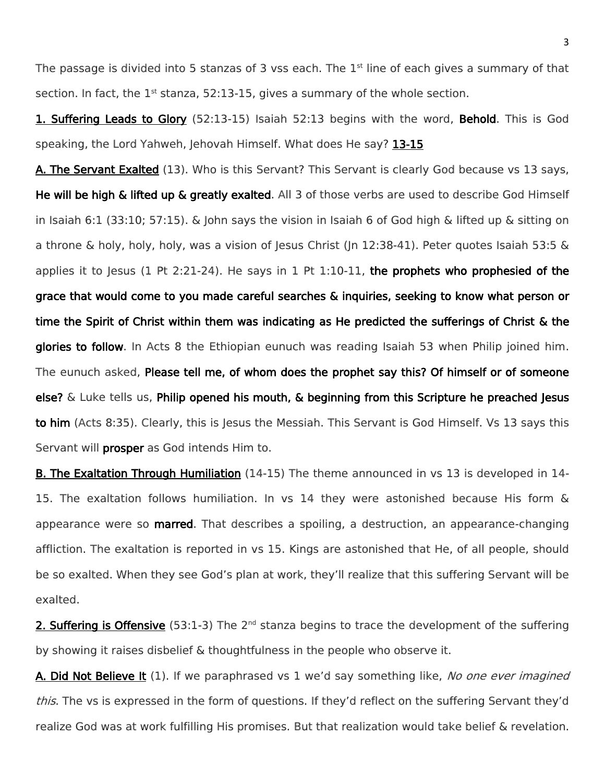The passage is divided into 5 stanzas of 3 vss each. The  $1<sup>st</sup>$  line of each gives a summary of that section. In fact, the  $1<sup>st</sup>$  stanza, 52:13-15, gives a summary of the whole section.

1. Suffering Leads to Glory (52:13-15) Isaiah 52:13 begins with the word, Behold. This is God speaking, the Lord Yahweh, Jehovah Himself. What does He say? 13-15

A. The Servant Exalted (13). Who is this Servant? This Servant is clearly God because vs 13 says, He will be high & lifted up & greatly exalted. All 3 of those verbs are used to describe God Himself in Isaiah 6:1 (33:10; 57:15). & John says the vision in Isaiah 6 of God high & lifted up & sitting on a throne & holy, holy, holy, was a vision of Jesus Christ (Jn 12:38-41). Peter quotes Isaiah 53:5 & applies it to Jesus (1 Pt 2:21-24). He says in 1 Pt 1:10-11, the prophets who prophesied of the grace that would come to you made careful searches & inquiries, seeking to know what person or time the Spirit of Christ within them was indicating as He predicted the sufferings of Christ & the glories to follow. In Acts 8 the Ethiopian eunuch was reading Isaiah 53 when Philip joined him. The eunuch asked, Please tell me, of whom does the prophet say this? Of himself or of someone else?  $\&$  Luke tells us, Philip opened his mouth,  $\&$  beginning from this Scripture he preached Jesus to him (Acts 8:35). Clearly, this is Jesus the Messiah. This Servant is God Himself. Vs 13 says this Servant will **prosper** as God intends Him to.

B. The Exaltation Through Humiliation (14-15) The theme announced in vs 13 is developed in 14- 15. The exaltation follows humiliation. In vs 14 they were astonished because His form & appearance were so **marred**. That describes a spoiling, a destruction, an appearance-changing affliction. The exaltation is reported in vs 15. Kings are astonished that He, of all people, should be so exalted. When they see God's plan at work, they'll realize that this suffering Servant will be exalted.

2. Suffering is Offensive (53:1-3) The 2<sup>nd</sup> stanza begins to trace the development of the suffering by showing it raises disbelief & thoughtfulness in the people who observe it.

A. Did Not Believe It (1). If we paraphrased vs 1 we'd say something like, No one ever imagined this. The vs is expressed in the form of questions. If they'd reflect on the suffering Servant they'd realize God was at work fulfilling His promises. But that realization would take belief & revelation.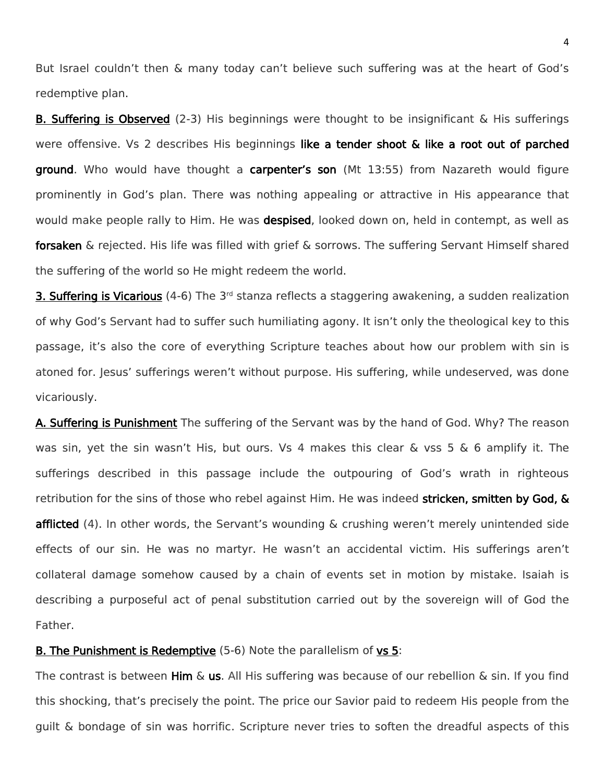But Israel couldn't then & many today can't believe such suffering was at the heart of God's redemptive plan.

B. Suffering is Observed (2-3) His beginnings were thought to be insignificant & His sufferings were offensive. Vs 2 describes His beginnings like a tender shoot & like a root out of parched ground. Who would have thought a carpenter's son (Mt 13:55) from Nazareth would figure prominently in God's plan. There was nothing appealing or attractive in His appearance that would make people rally to Him. He was despised, looked down on, held in contempt, as well as forsaken & rejected. His life was filled with grief & sorrows. The suffering Servant Himself shared the suffering of the world so He might redeem the world.

3. Suffering is Vicarious (4-6) The 3<sup>rd</sup> stanza reflects a staggering awakening, a sudden realization of why God's Servant had to suffer such humiliating agony. It isn't only the theological key to this passage, it's also the core of everything Scripture teaches about how our problem with sin is atoned for. Jesus' sufferings weren't without purpose. His suffering, while undeserved, was done vicariously.

A. Suffering is Punishment The suffering of the Servant was by the hand of God. Why? The reason was sin, yet the sin wasn't His, but ours. Vs 4 makes this clear & vss 5 & 6 amplify it. The sufferings described in this passage include the outpouring of God's wrath in righteous retribution for the sins of those who rebel against Him. He was indeed stricken, smitten by God, & afflicted (4). In other words, the Servant's wounding & crushing weren't merely unintended side effects of our sin. He was no martyr. He wasn't an accidental victim. His sufferings aren't collateral damage somehow caused by a chain of events set in motion by mistake. Isaiah is describing a purposeful act of penal substitution carried out by the sovereign will of God the Father.

## **B. The Punishment is Redemptive** (5-6) Note the parallelism of **vs 5**:

The contrast is between  $\lim_{x \to a} x$ . All His suffering was because of our rebellion & sin. If you find this shocking, that's precisely the point. The price our Savior paid to redeem His people from the guilt & bondage of sin was horrific. Scripture never tries to soften the dreadful aspects of this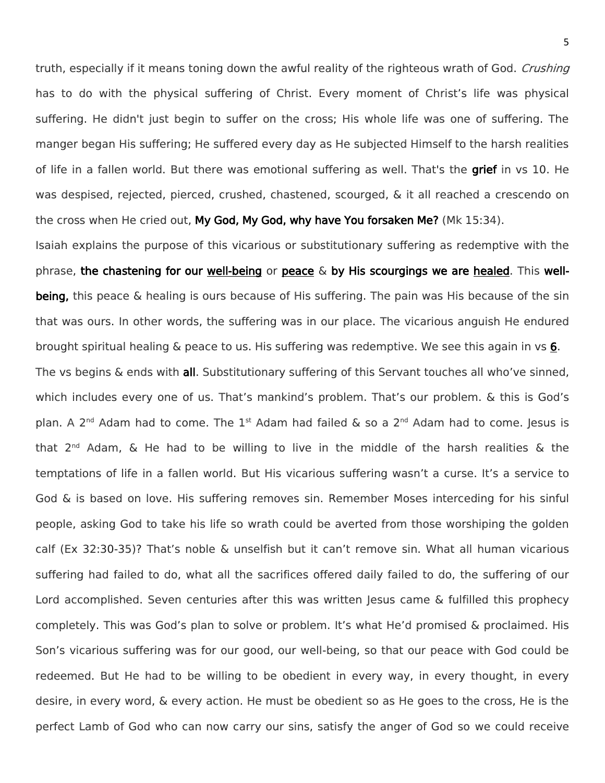truth, especially if it means toning down the awful reality of the righteous wrath of God. *Crushing* has to do with the physical suffering of Christ. Every moment of Christ's life was physical suffering. He didn't just begin to suffer on the cross; His whole life was one of suffering. The manger began His suffering; He suffered every day as He subjected Himself to the harsh realities of life in a fallen world. But there was emotional suffering as well. That's the **grief** in vs 10. He was despised, rejected, pierced, crushed, chastened, scourged, & it all reached a crescendo on the cross when He cried out, My God, My God, why have You forsaken Me? (Mk 15:34).

Isaiah explains the purpose of this vicarious or substitutionary suffering as redemptive with the phrase, the chastening for our well-being or peace  $\&$  by His scourgings we are healed. This wellbeing, this peace & healing is ours because of His suffering. The pain was His because of the sin that was ours. In other words, the suffering was in our place. The vicarious anguish He endured brought spiritual healing & peace to us. His suffering was redemptive. We see this again in vs 6. The vs begins  $\&$  ends with all. Substitutionary suffering of this Servant touches all who've sinned, which includes every one of us. That's mankind's problem. That's our problem. & this is God's plan. A 2<sup>nd</sup> Adam had to come. The 1<sup>st</sup> Adam had failed & so a 2<sup>nd</sup> Adam had to come. Jesus is that 2<sup>nd</sup> Adam, & He had to be willing to live in the middle of the harsh realities & the temptations of life in a fallen world. But His vicarious suffering wasn't a curse. It's a service to God & is based on love. His suffering removes sin. Remember Moses interceding for his sinful people, asking God to take his life so wrath could be averted from those worshiping the golden calf (Ex 32:30-35)? That's noble & unselfish but it can't remove sin. What all human vicarious suffering had failed to do, what all the sacrifices offered daily failed to do, the suffering of our Lord accomplished. Seven centuries after this was written Jesus came & fulfilled this prophecy completely. This was God's plan to solve or problem. It's what He'd promised & proclaimed. His Son's vicarious suffering was for our good, our well-being, so that our peace with God could be redeemed. But He had to be willing to be obedient in every way, in every thought, in every desire, in every word, & every action. He must be obedient so as He goes to the cross, He is the perfect Lamb of God who can now carry our sins, satisfy the anger of God so we could receive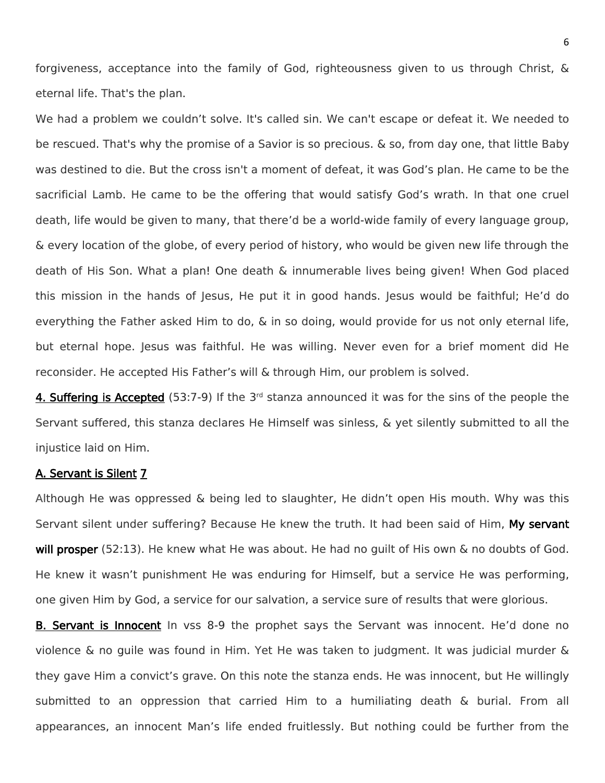forgiveness, acceptance into the family of God, righteousness given to us through Christ, & eternal life. That's the plan.

We had a problem we couldn't solve. It's called sin. We can't escape or defeat it. We needed to be rescued. That's why the promise of a Savior is so precious. & so, from day one, that little Baby was destined to die. But the cross isn't a moment of defeat, it was God's plan. He came to be the sacrificial Lamb. He came to be the offering that would satisfy God's wrath. In that one cruel death, life would be given to many, that there'd be a world-wide family of every language group, & every location of the globe, of every period of history, who would be given new life through the death of His Son. What a plan! One death & innumerable lives being given! When God placed this mission in the hands of Jesus, He put it in good hands. Jesus would be faithful; He'd do everything the Father asked Him to do, & in so doing, would provide for us not only eternal life, but eternal hope. Jesus was faithful. He was willing. Never even for a brief moment did He reconsider. He accepted His Father's will & through Him, our problem is solved.

4. Suffering is Accepted (53:7-9) If the 3<sup>rd</sup> stanza announced it was for the sins of the people the Servant suffered, this stanza declares He Himself was sinless, & yet silently submitted to all the injustice laid on Him.

## A. Servant is Silent 7

Although He was oppressed & being led to slaughter, He didn't open His mouth. Why was this Servant silent under suffering? Because He knew the truth. It had been said of Him, My servant will prosper (52:13). He knew what He was about. He had no guilt of His own & no doubts of God. He knew it wasn't punishment He was enduring for Himself, but a service He was performing, one given Him by God, a service for our salvation, a service sure of results that were glorious.

B. Servant is Innocent In vss 8-9 the prophet says the Servant was innocent. He'd done no violence & no guile was found in Him. Yet He was taken to judgment. It was judicial murder & they gave Him a convict's grave. On this note the stanza ends. He was innocent, but He willingly submitted to an oppression that carried Him to a humiliating death & burial. From all appearances, an innocent Man's life ended fruitlessly. But nothing could be further from the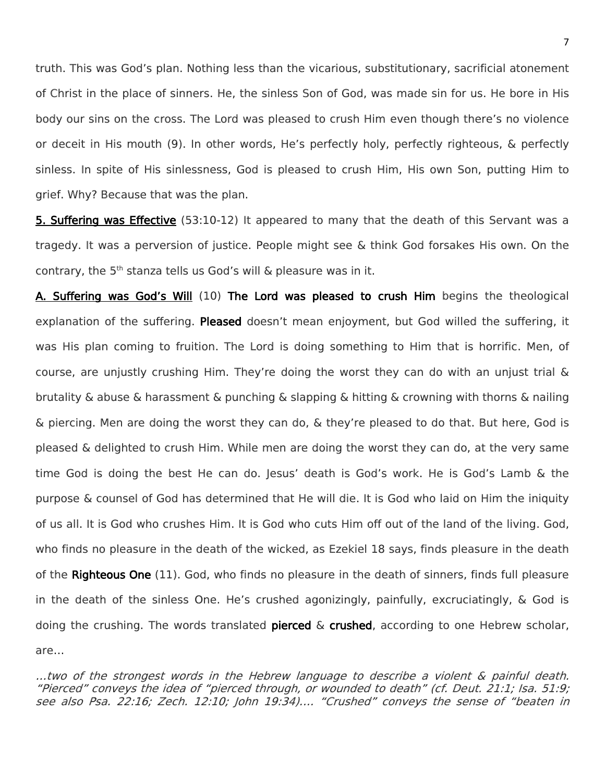truth. This was God's plan. Nothing less than the vicarious, substitutionary, sacrificial atonement of Christ in the place of sinners. He, the sinless Son of God, was made sin for us. He bore in His body our sins on the cross. The Lord was pleased to crush Him even though there's no violence or deceit in His mouth (9). In other words, He's perfectly holy, perfectly righteous, & perfectly sinless. In spite of His sinlessness, God is pleased to crush Him, His own Son, putting Him to grief. Why? Because that was the plan.

**5. Suffering was Effective** (53:10-12) It appeared to many that the death of this Servant was a tragedy. It was a perversion of justice. People might see & think God forsakes His own. On the contrary, the  $5<sup>th</sup>$  stanza tells us God's will & pleasure was in it.

A. Suffering was God's Will (10) The Lord was pleased to crush Him begins the theological explanation of the suffering. Pleased doesn't mean enjoyment, but God willed the suffering, it was His plan coming to fruition. The Lord is doing something to Him that is horrific. Men, of course, are unjustly crushing Him. They're doing the worst they can do with an unjust trial & brutality & abuse & harassment & punching & slapping & hitting & crowning with thorns & nailing & piercing. Men are doing the worst they can do, & they're pleased to do that. But here, God is pleased & delighted to crush Him. While men are doing the worst they can do, at the very same time God is doing the best He can do. Jesus' death is God's work. He is God's Lamb & the purpose & counsel of God has determined that He will die. It is God who laid on Him the iniquity of us all. It is God who crushes Him. It is God who cuts Him off out of the land of the living. God, who finds no pleasure in the death of the wicked, as Ezekiel 18 says, finds pleasure in the death of the Righteous One (11). God, who finds no pleasure in the death of sinners, finds full pleasure in the death of the sinless One. He's crushed agonizingly, painfully, excruciatingly, & God is doing the crushing. The words translated pierced  $\&$  crushed, according to one Hebrew scholar, are…

…two of the strongest words in the Hebrew language to describe a violent & painful death. "Pierced" conveys the idea of "pierced through, or wounded to death" (cf. Deut. 21:1; Isa. 51:9; see also Psa. 22:16; Zech. 12:10; John 19:34).… "Crushed" conveys the sense of "beaten in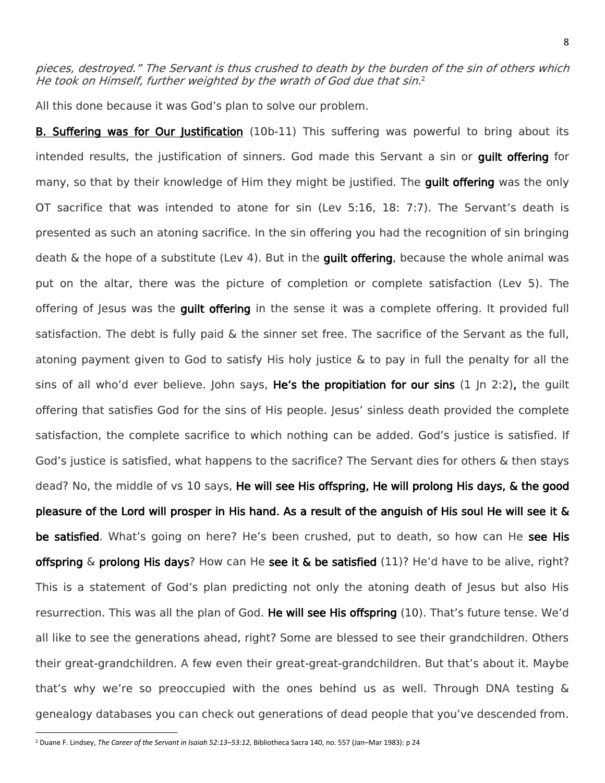pieces, destroyed." The Servant is thus crushed to death by the burden of the sin of others which He took on Himself, further weighted by the wrath of God due that sin. 2

All this done because it was God's plan to solve our problem.

**B. Suffering was for Our Justification** (10b-11) This suffering was powerful to bring about its intended results, the justification of sinners. God made this Servant a sin or guilt offering for many, so that by their knowledge of Him they might be justified. The **quilt offering** was the only OT sacrifice that was intended to atone for sin (Lev 5:16, 18: 7:7). The Servant's death is presented as such an atoning sacrifice. In the sin offering you had the recognition of sin bringing death  $\&$  the hope of a substitute (Lev 4). But in the **quilt offering**, because the whole animal was put on the altar, there was the picture of completion or complete satisfaction (Lev 5). The offering of Jesus was the guilt offering in the sense it was a complete offering. It provided full satisfaction. The debt is fully paid & the sinner set free. The sacrifice of the Servant as the full, atoning payment given to God to satisfy His holy justice & to pay in full the penalty for all the sins of all who'd ever believe. John says, He's the propitiation for our sins (1 Jn 2:2), the guilt offering that satisfies God for the sins of His people. Jesus' sinless death provided the complete satisfaction, the complete sacrifice to which nothing can be added. God's justice is satisfied. If God's justice is satisfied, what happens to the sacrifice? The Servant dies for others & then stays dead? No, the middle of vs 10 says, He will see His offspring, He will prolong His days, & the good pleasure of the Lord will prosper in His hand. As a result of the anguish of His soul He will see it & be satisfied. What's going on here? He's been crushed, put to death, so how can He see His offspring  $\&$  prolong His days? How can He see it  $\&$  be satisfied (11)? He'd have to be alive, right? This is a statement of God's plan predicting not only the atoning death of Jesus but also His resurrection. This was all the plan of God. He will see His offspring (10). That's future tense. We'd all like to see the generations ahead, right? Some are blessed to see their grandchildren. Others their great-grandchildren. A few even their great-great-grandchildren. But that's about it. Maybe that's why we're so preoccupied with the ones behind us as well. Through DNA testing & genealogy databases you can check out generations of dead people that you've descended from.

 $\overline{\phantom{a}}$ 

<sup>2</sup> Duane F. Lindsey, *The Career of the Servant in Isaiah 52:13–53:12*, Bibliotheca Sacra 140, no. 557 (Jan–Mar 1983): p 24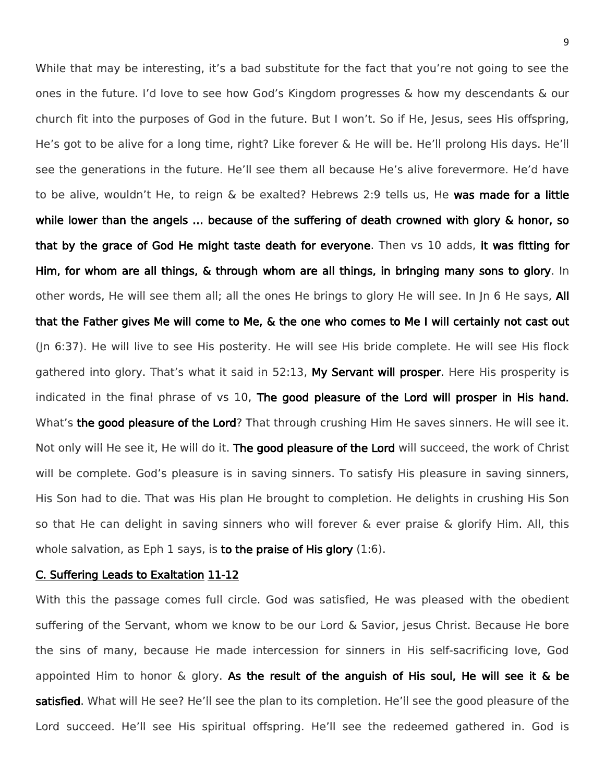While that may be interesting, it's a bad substitute for the fact that you're not going to see the ones in the future. I'd love to see how God's Kingdom progresses & how my descendants & our church fit into the purposes of God in the future. But I won't. So if He, Jesus, sees His offspring, He's got to be alive for a long time, right? Like forever & He will be. He'll prolong His days. He'll see the generations in the future. He'll see them all because He's alive forevermore. He'd have to be alive, wouldn't He, to reign & be exalted? Hebrews 2:9 tells us, He was made for a little while lower than the angels ... because of the suffering of death crowned with glory & honor, so that by the grace of God He might taste death for everyone. Then vs 10 adds, it was fitting for Him, for whom are all things, & through whom are all things, in bringing many sons to glory. In other words, He will see them all; all the ones He brings to glory He will see. In Jn 6 He says, All that the Father gives Me will come to Me, & the one who comes to Me I will certainly not cast out (Jn 6:37). He will live to see His posterity. He will see His bride complete. He will see His flock gathered into glory. That's what it said in 52:13, My Servant will prosper. Here His prosperity is indicated in the final phrase of vs 10, The good pleasure of the Lord will prosper in His hand. What's the good pleasure of the Lord? That through crushing Him He saves sinners. He will see it. Not only will He see it, He will do it. The good pleasure of the Lord will succeed, the work of Christ will be complete. God's pleasure is in saving sinners. To satisfy His pleasure in saving sinners, His Son had to die. That was His plan He brought to completion. He delights in crushing His Son so that He can delight in saving sinners who will forever & ever praise & glorify Him. All, this whole salvation, as Eph 1 says, is to the praise of His glory  $(1:6)$ .

## C. Suffering Leads to Exaltation 11-12

With this the passage comes full circle. God was satisfied, He was pleased with the obedient suffering of the Servant, whom we know to be our Lord & Savior, Jesus Christ. Because He bore the sins of many, because He made intercession for sinners in His self-sacrificing love, God appointed Him to honor  $\&$  glory. As the result of the anguish of His soul, He will see it  $\&$  be satisfied. What will He see? He'll see the plan to its completion. He'll see the good pleasure of the Lord succeed. He'll see His spiritual offspring. He'll see the redeemed gathered in. God is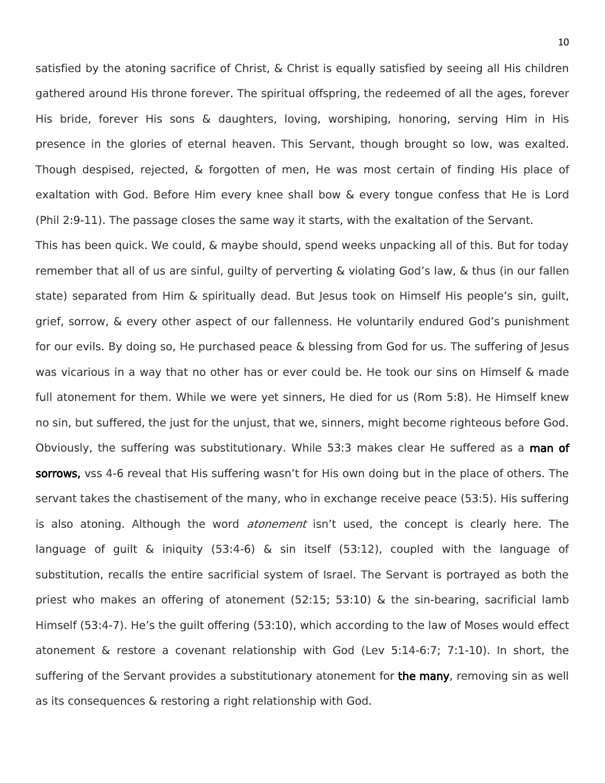satisfied by the atoning sacrifice of Christ, & Christ is equally satisfied by seeing all His children gathered around His throne forever. The spiritual offspring, the redeemed of all the ages, forever His bride, forever His sons & daughters, loving, worshiping, honoring, serving Him in His presence in the glories of eternal heaven. This Servant, though brought so low, was exalted. Though despised, rejected, & forgotten of men, He was most certain of finding His place of exaltation with God. Before Him every knee shall bow & every tongue confess that He is Lord (Phil 2:9-11). The passage closes the same way it starts, with the exaltation of the Servant.

This has been quick. We could, & maybe should, spend weeks unpacking all of this. But for today remember that all of us are sinful, guilty of perverting & violating God's law, & thus (in our fallen state) separated from Him & spiritually dead. But Jesus took on Himself His people's sin, guilt, grief, sorrow, & every other aspect of our fallenness. He voluntarily endured God's punishment for our evils. By doing so, He purchased peace & blessing from God for us. The suffering of Jesus was vicarious in a way that no other has or ever could be. He took our sins on Himself & made full atonement for them. While we were yet sinners, He died for us (Rom 5:8). He Himself knew no sin, but suffered, the just for the unjust, that we, sinners, might become righteous before God. Obviously, the suffering was substitutionary. While 53:3 makes clear He suffered as a man of sorrows, vss 4-6 reveal that His suffering wasn't for His own doing but in the place of others. The servant takes the chastisement of the many, who in exchange receive peace (53:5). His suffering is also atoning. Although the word *atonement* isn't used, the concept is clearly here. The language of guilt & iniquity (53:4-6) & sin itself (53:12), coupled with the language of substitution, recalls the entire sacrificial system of Israel. The Servant is portrayed as both the priest who makes an offering of atonement (52:15; 53:10) & the sin-bearing, sacrificial lamb Himself (53:4-7). He's the guilt offering (53:10), which according to the law of Moses would effect atonement & restore a covenant relationship with God (Lev 5:14-6:7; 7:1-10). In short, the suffering of the Servant provides a substitutionary atonement for the many, removing sin as well as its consequences & restoring a right relationship with God.